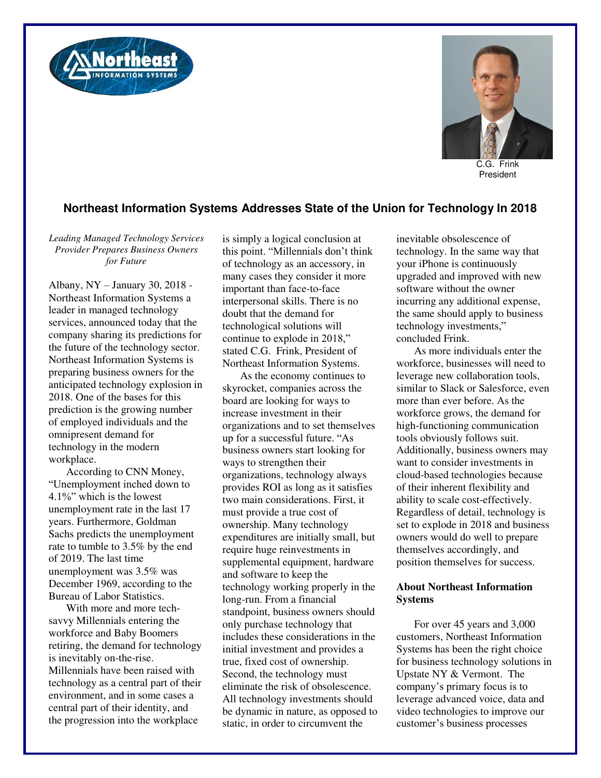



C.G. Frink President

## **Northeast Information Systems Addresses State of the Union for Technology In 2018**

*Leading Managed Technology Services Provider Prepares Business Owners for Future* 

Albany, NY – January 30, 2018 - Northeast Information Systems a leader in managed technology services, announced today that the company sharing its predictions for the future of the technology sector. Northeast Information Systems is preparing business owners for the anticipated technology explosion in 2018. One of the bases for this prediction is the growing number of employed individuals and the omnipresent demand for technology in the modern workplace.

According to CNN Money, "Unemployment inched down to 4.1%" which is the lowest unemployment rate in the last 17 years. Furthermore, Goldman Sachs predicts the unemployment rate to tumble to 3.5% by the end of 2019. The last time unemployment was 3.5% was December 1969, according to the Bureau of Labor Statistics.

With more and more techsavvy Millennials entering the workforce and Baby Boomers retiring, the demand for technology is inevitably on-the-rise. Millennials have been raised with technology as a central part of their environment, and in some cases a central part of their identity, and the progression into the workplace

is simply a logical conclusion at this point. "Millennials don't think of technology as an accessory, in many cases they consider it more important than face-to-face interpersonal skills. There is no doubt that the demand for technological solutions will continue to explode in 2018," stated C.G. Frink, President of Northeast Information Systems.

As the economy continues to skyrocket, companies across the board are looking for ways to increase investment in their organizations and to set themselves up for a successful future. "As business owners start looking for ways to strengthen their organizations, technology always provides ROI as long as it satisfies two main considerations. First, it must provide a true cost of ownership. Many technology expenditures are initially small, but require huge reinvestments in supplemental equipment, hardware and software to keep the technology working properly in the long-run. From a financial standpoint, business owners should only purchase technology that includes these considerations in the initial investment and provides a true, fixed cost of ownership. Second, the technology must eliminate the risk of obsolescence. All technology investments should be dynamic in nature, as opposed to static, in order to circumvent the

inevitable obsolescence of technology. In the same way that your iPhone is continuously upgraded and improved with new software without the owner incurring any additional expense, the same should apply to business technology investments," concluded Frink.

As more individuals enter the workforce, businesses will need to leverage new collaboration tools, similar to Slack or Salesforce, even more than ever before. As the workforce grows, the demand for high-functioning communication tools obviously follows suit. Additionally, business owners may want to consider investments in cloud-based technologies because of their inherent flexibility and ability to scale cost-effectively. Regardless of detail, technology is set to explode in 2018 and business owners would do well to prepare themselves accordingly, and position themselves for success.

## **About Northeast Information Systems**

For over 45 years and 3,000 customers, Northeast Information Systems has been the right choice for business technology solutions in Upstate NY & Vermont. The company's primary focus is to leverage advanced voice, data and video technologies to improve our customer's business processes